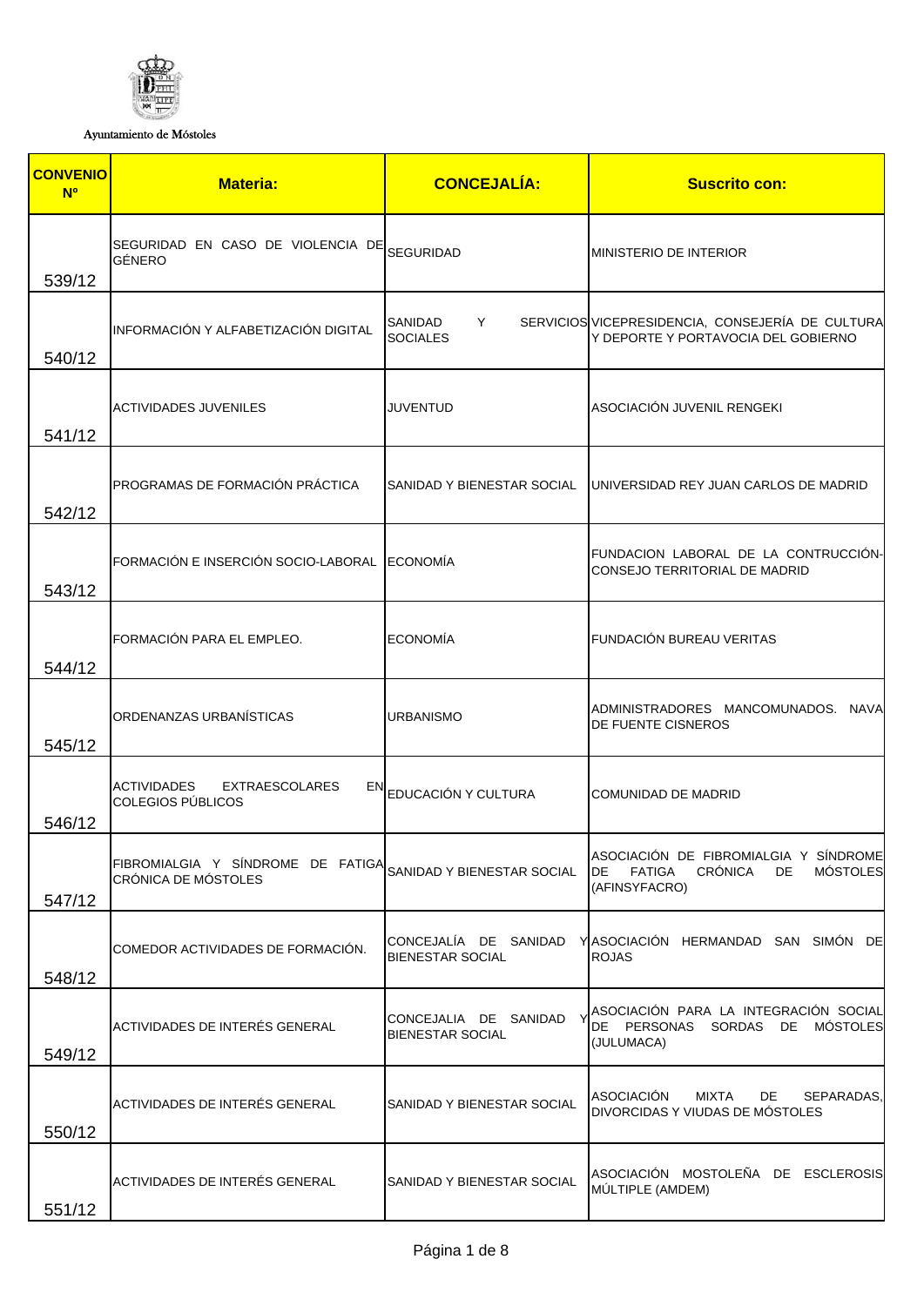

Ayuntamiento de Móstoles

| <b>CONVENIO</b><br><b>N<sup>o</sup></b> | <b>Materia:</b>                                                                     | <b>CONCEJALÍA:</b>                               | <b>Suscrito con:</b>                                                                                                      |
|-----------------------------------------|-------------------------------------------------------------------------------------|--------------------------------------------------|---------------------------------------------------------------------------------------------------------------------------|
| 539/12                                  | SEGURIDAD EN CASO DE VIOLENCIA DE SEGURIDAD<br>GÉNERO                               |                                                  | <b>MINISTERIO DE INTERIOR</b>                                                                                             |
| 540/12                                  | INFORMACIÓN Y ALFABETIZACIÓN DIGITAL                                                | SANIDAD<br>Y<br><b>SOCIALES</b>                  | SERVICIOS VICEPRESIDENCIA, CONSEJERÍA DE CULTURA<br>Y DEPORTE Y PORTAVOCIA DEL GOBIERNO                                   |
| 541/12                                  | ACTIVIDADES JUVENILES                                                               | JUVENTUD                                         | ASOCIACIÓN JUVENIL RENGEKI                                                                                                |
| 542/12                                  | PROGRAMAS DE FORMACIÓN PRÁCTICA                                                     |                                                  | SANIDAD Y BIENESTAR SOCIAL   UNIVERSIDAD REY JUAN CARLOS DE MADRID                                                        |
| 543/12                                  | FORMACIÓN E INSERCIÓN SOCIO-LABORAL ECONOMÍA                                        |                                                  | FUNDACION LABORAL DE LA CONTRUCCIÓN-<br>CONSEJO TERRITORIAL DE MADRID                                                     |
| 544/12                                  | FORMACIÓN PARA EL EMPLEO.                                                           | <b>ECONOMÍA</b>                                  | FUNDACIÓN BUREAU VERITAS                                                                                                  |
| 545/12                                  | ORDENANZAS URBANÍSTICAS                                                             | <b>URBANISMO</b>                                 | ADMINISTRADORES MANCOMUNADOS. NAVA<br>DE FUENTE CISNEROS                                                                  |
| 546/12                                  | ACTIVIDADES<br><b>EXTRAESCOLARES</b><br>COLEGIOS PÚBLICOS                           | EN EDUCACIÓN Y CULTURA                           | COMUNIDAD DE MADRID                                                                                                       |
| 547/12                                  | FIBROMIALGIA Y SÍNDROME DE FATIGA SANIDAD Y BIENESTAR SOCIAL<br>CRÓNICA DE MÓSTOLES |                                                  | ASOCIACIÓN DE FIBROMIALGIA Y SÍNDROME<br><b>CRÓNICA</b><br><b>MÓSTOLES</b><br>DE.<br><b>FATIGA</b><br>DE<br>(AFINSYFACRO) |
| 548/12                                  | COMEDOR ACTIVIDADES DE FORMACIÓN.                                                   | CONCEJALÍA DE SANIDAD<br>BIENESTAR SOCIAL        | YASOCIACIÓN HERMANDAD SAN SIMÓN DE<br><b>ROJAS</b>                                                                        |
| 549/12                                  | ACTIVIDADES DE INTERÉS GENERAL                                                      | CONCEJALIA DE SANIDAD<br><b>BIENESTAR SOCIAL</b> | ASOCIACIÓN PARA LA INTEGRACIÓN SOCIAL<br>DE PERSONAS SORDAS DE MÓSTOLES<br>(JULUMACA)                                     |
| 550/12                                  | ACTIVIDADES DE INTERÉS GENERAL                                                      | SANIDAD Y BIENESTAR SOCIAL                       | <b>ASOCIACIÓN</b><br><b>MIXTA</b><br>DE<br>SEPARADAS,<br>DIVORCIDAS Y VIUDAS DE MÓSTOLES                                  |
| 551/12                                  | ACTIVIDADES DE INTERÉS GENERAL                                                      | SANIDAD Y BIENESTAR SOCIAL                       | ASOCIACIÓN MOSTOLEÑA DE ESCLEROSIS<br>MÚLTIPLE (AMDEM)                                                                    |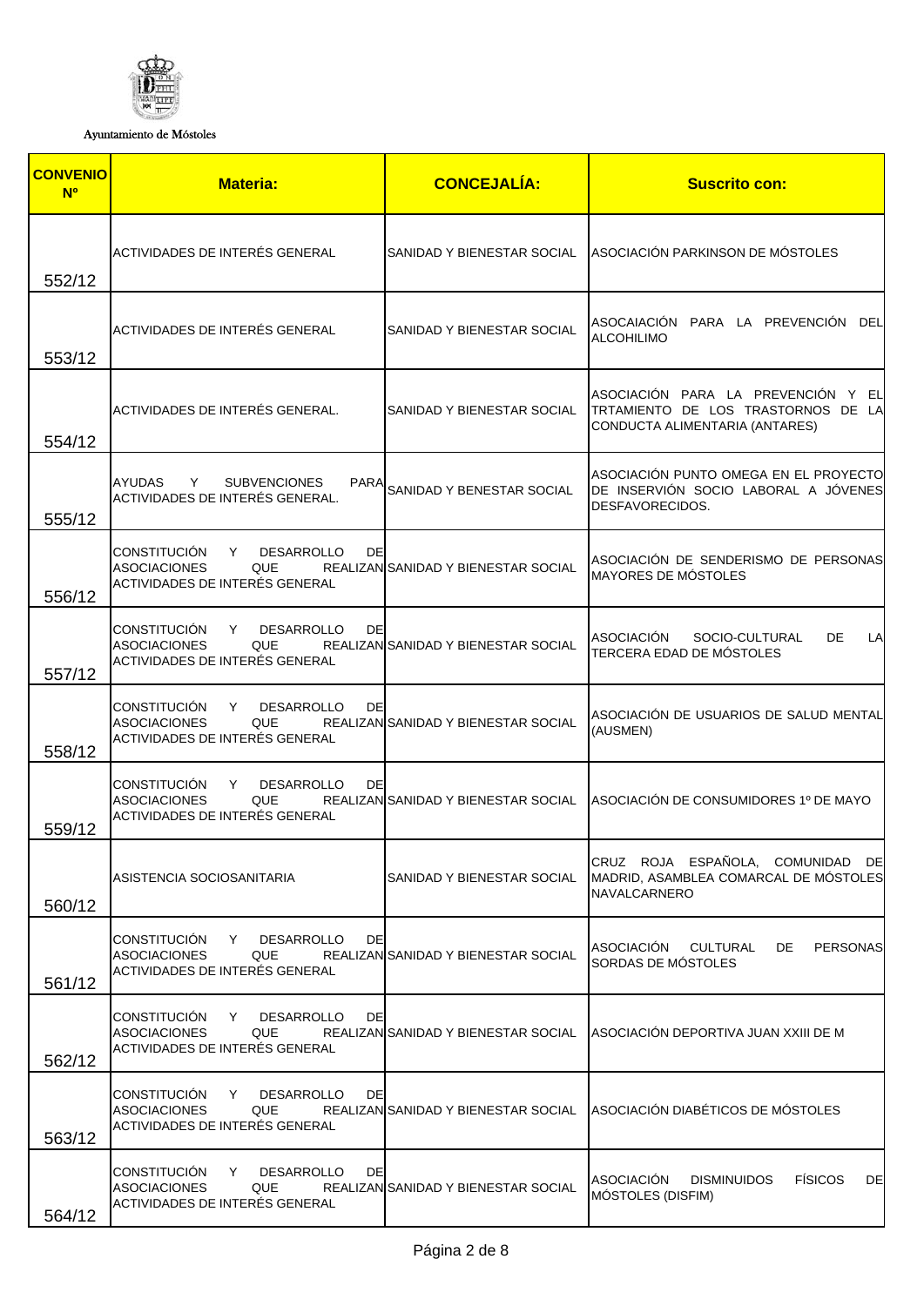

Ayuntamiento de Móstoles

| <b>CONVENIO</b><br><b>N<sup>o</sup></b> | <b>Materia:</b>                                                                                                             | <b>CONCEJALÍA:</b>                  | <b>Suscrito con:</b>                                                                                       |
|-----------------------------------------|-----------------------------------------------------------------------------------------------------------------------------|-------------------------------------|------------------------------------------------------------------------------------------------------------|
| 552/12                                  | ACTIVIDADES DE INTERÉS GENERAL                                                                                              | SANIDAD Y BIENESTAR SOCIAL          | ASOCIACIÓN PARKINSON DE MÓSTOLES                                                                           |
| 553/12                                  | ACTIVIDADES DE INTERÉS GENERAL                                                                                              | SANIDAD Y BIENESTAR SOCIAL          | ASOCAIACIÓN PARA LA PREVENCIÓN DEL<br><b>ALCOHILIMO</b>                                                    |
| 554/12                                  | ACTIVIDADES DE INTERÉS GENERAL.                                                                                             | SANIDAD Y BIENESTAR SOCIAL          | ASOCIACIÓN PARA LA PREVENCIÓN Y EL<br>TRTAMIENTO DE LOS TRASTORNOS DE LA<br>CONDUCTA ALIMENTARIA (ANTARES) |
| 555/12                                  | <b>AYUDAS</b><br><b>SUBVENCIONES</b><br>Y.<br><b>PARA</b><br>ACTIVIDADES DE INTERÉS GENERAL.                                | SANIDAD Y BENESTAR SOCIAL           | ASOCIACIÓN PUNTO OMEGA EN EL PROYECTO<br>DE INSERVIÓN SOCIO LABORAL A JÓVENES<br>DESFAVORECIDOS.           |
| 556/12                                  | CONSTITUCIÓN Y<br><b>DESARROLLO</b><br>DE<br><b>ASOCIACIONES</b><br>QUE<br>ACTIVIDADES DE INTERÉS GENERAL                   | REALIZAN SANIDAD Y BIENESTAR SOCIAL | ASOCIACIÓN DE SENDERISMO DE PERSONAS<br>MAYORES DE MÓSTOLES                                                |
| 557/12                                  | <b>CONSTITUCIÓN</b><br>Y.<br><b>DESARROLLO</b><br>DE<br><b>ASOCIACIONES</b><br><b>QUE</b><br>ACTIVIDADES DE INTERÉS GENERAL | REALIZAN SANIDAD Y BIENESTAR SOCIAL | ASOCIACIÓN<br>SOCIO-CULTURAL<br>DE.<br>LA<br>TERCERA EDAD DE MÓSTOLES                                      |
| 558/12                                  | CONSTITUCIÓN<br>DE<br>Y.<br><b>DESARROLLO</b><br><b>ASOCIACIONES</b><br><b>QUE</b><br>ACTIVIDADES DE INTERÉS GENERAL        | REALIZAN SANIDAD Y BIENESTAR SOCIAL | ASOCIACIÓN DE USUARIOS DE SALUD MENTAL<br>(AUSMEN)                                                         |
| 559/12                                  | CONSTITUCIÓN Y<br><b>DESARROLLO</b><br>DE<br><b>ASOCIACIONES</b><br>QUE<br>ACTIVIDADES DE INTERÉS GENERAL                   | REALIZAN SANIDAD Y BIENESTAR SOCIAL | ASOCIACIÓN DE CONSUMIDORES 1º DE MAYO                                                                      |
| 560/12                                  | ASISTENCIA SOCIOSANITARIA                                                                                                   | SANIDAD Y BIENESTAR SOCIAL          | CRUZ ROJA ESPAÑOLA, COMUNIDAD DE<br>MADRID, ASAMBLEA COMARCAL DE MÓSTOLES<br><b>NAVALCARNERO</b>           |
| 561/12                                  | <b>CONSTITUCIÓN</b><br>DE<br>Y<br><b>DESARROLLO</b><br><b>ASOCIACIONES</b><br>QUE<br>ACTIVIDADES DE INTERÉS GENERAL         | REALIZAN SANIDAD Y BIENESTAR SOCIAL | <b>ASOCIACIÓN</b><br>PERSONAS<br><b>CULTURAL</b><br>DE<br>SORDAS DE MÓSTOLES                               |
| 562/12                                  | CONSTITUCIÓN<br>Y<br><b>DESARROLLO</b><br>DE<br><b>ASOCIACIONES</b><br>QUE<br>ACTIVIDADES DE INTERÉS GENERAL                | REALIZAN SANIDAD Y BIENESTAR SOCIAL | ASOCIACIÓN DEPORTIVA JUAN XXIII DE M                                                                       |
| 563/12                                  | <b>CONSTITUCIÓN</b><br>Y.<br><b>DESARROLLO</b><br>DE<br><b>ASOCIACIONES</b><br>QUE<br>ACTIVIDADES DE INTERÉS GENERAL        | REALIZAN SANIDAD Y BIENESTAR SOCIAL | ASOCIACIÓN DIABÉTICOS DE MÓSTOLES                                                                          |
| 564/12                                  | <b>CONSTITUCIÓN</b><br>DE<br>Y<br><b>DESARROLLO</b><br><b>ASOCIACIONES</b><br>QUE<br>ACTIVIDADES DE INTERÉS GENERAL         | REALIZAN SANIDAD Y BIENESTAR SOCIAL | <b>ASOCIACIÓN</b><br><b>FÍSICOS</b><br>DE<br><b>DISMINUIDOS</b><br>MÓSTOLES (DISFIM)                       |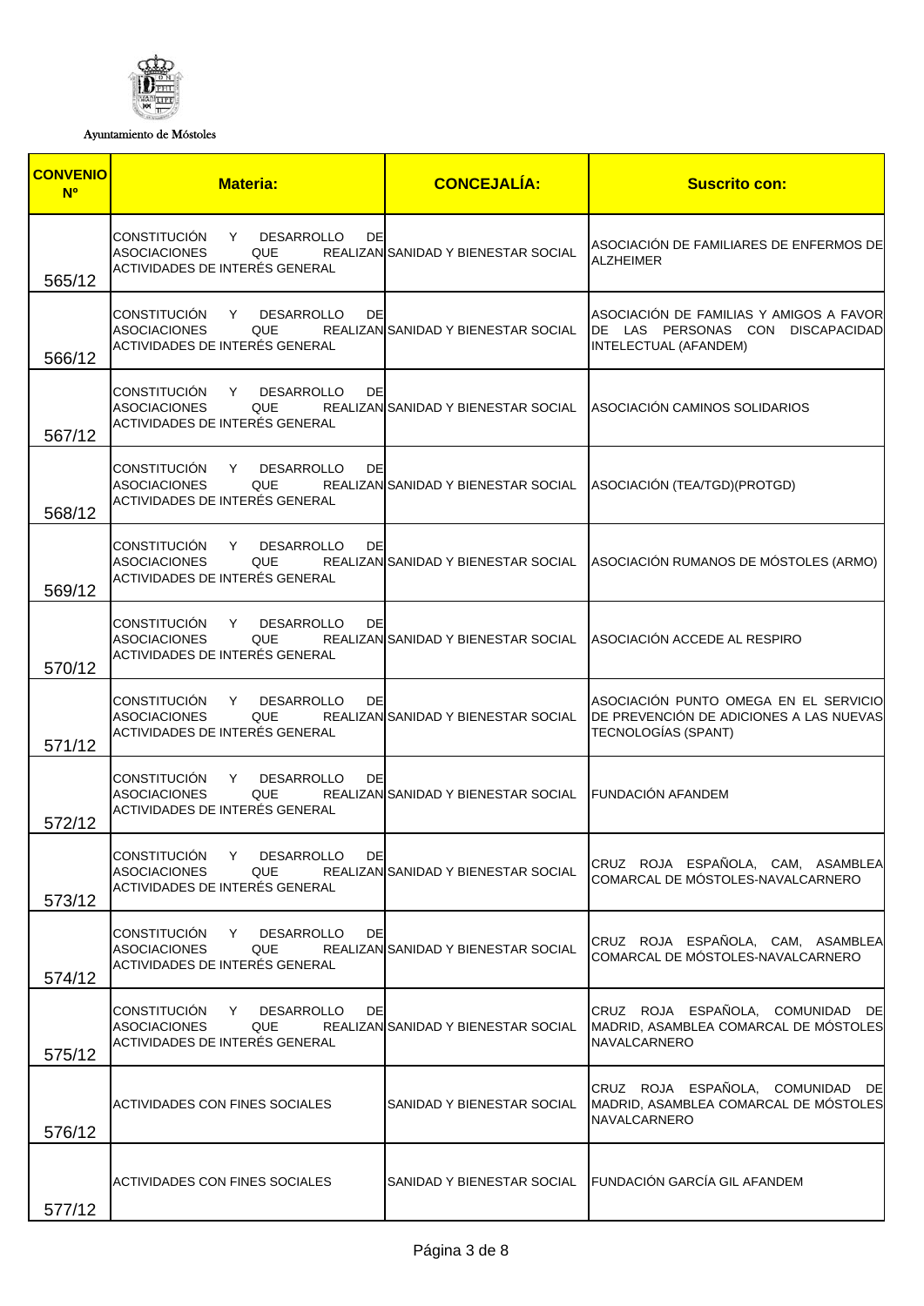

Ayuntamiento de Móstoles

| <b>CONVENIO</b><br><b>N<sup>o</sup></b> | <b>Materia:</b>                                                                                                      | <b>CONCEJALÍA:</b>                                    | <b>Suscrito con:</b>                                                                                    |
|-----------------------------------------|----------------------------------------------------------------------------------------------------------------------|-------------------------------------------------------|---------------------------------------------------------------------------------------------------------|
| 565/12                                  | CONSTITUCIÓN<br>Y DESARROLLO<br>DE<br><b>ASOCIACIONES</b><br>QUE<br>ACTIVIDADES DE INTERÉS GENERAL                   | REALIZAN SANIDAD Y BIENESTAR SOCIAL                   | ASOCIACION DE FAMILIARES DE ENFERMOS DE<br><b>ALZHEIMER</b>                                             |
| 566/12                                  | CONSTITUCIÓN<br>DE<br>Y DESARROLLO<br><b>ASOCIACIONES</b><br>QUE<br>ACTIVIDADES DE INTERÉS GENERAL                   | REALIZAN SANIDAD Y BIENESTAR SOCIAL                   | ASOCIACIÓN DE FAMILIAS Y AMIGOS A FAVOR<br>DE LAS PERSONAS CON DISCAPACIDAD<br>INTELECTUAL (AFANDEM)    |
| 567/12                                  | CONSTITUCIÓN<br>Y<br><b>DESARROLLO</b><br>DE<br><b>ASOCIACIONES</b><br>QUE<br>ACTIVIDADES DE INTERÉS GENERAL         |                                                       | REALIZAN SANIDAD Y BIENESTAR SOCIAL ASOCIACIÓN CAMINOS SOLIDARIOS                                       |
| 568/12                                  | CONSTITUCIÓN Y DESARROLLO<br>DE<br><b>ASOCIACIONES</b><br>QUE<br>ACTIVIDADES DE INTERÉS GENERAL                      |                                                       | REALIZAN SANIDAD Y BIENESTAR SOCIAL ASOCIACIÓN (TEA/TGD) (PROTGD)                                       |
| 569/12                                  | CONSTITUCIÓN Y DESARROLLO<br>DE<br><b>ASOCIACIONES</b><br>QUE<br>ACTIVIDADES DE INTERÉS GENERAL                      |                                                       | REALIZAN SANIDAD Y BIENESTAR SOCIAL ASOCIACIÓN RUMANOS DE MÓSTOLES (ARMO)                               |
| 570/12                                  | CONSTITUCIÓN<br>Y DESARROLLO<br>DE<br><b>ASOCIACIONES</b><br>QUE<br>ACTIVIDADES DE INTERÉS GENERAL                   |                                                       | REALIZAN SANIDAD Y BIENESTAR SOCIAL ASOCIACIÓN ACCEDE AL RESPIRO                                        |
| 571/12                                  | CONSTITUCIÓN<br><b>DESARROLLO</b><br>DE<br>Y<br><b>ASOCIACIONES</b><br>QUE<br>ACTIVIDADES DE INTERÉS GENERAL         | REALIZAN SANIDAD Y BIENESTAR SOCIAL                   | ASOCIACIÓN PUNTO OMEGA EN EL SERVICIO<br>DE PREVENCIÓN DE ADICIONES A LAS NUEVAS<br>TECNOLOGÍAS (SPANT) |
| 572/12                                  | <b>CONSTITUCIÓN</b><br>DE<br><b>DESARROLLO</b><br>Y.<br><b>ASOCIACIONES</b><br>QUE<br>ACTIVIDADES DE INTERÉS GENERAL | REALIZAN SANIDAD Y BIENESTAR SOCIAL FUNDACIÓN AFANDEM |                                                                                                         |
| 573/12                                  | CONSTITUCIÓN<br>Y DESARROLLO<br>DE<br><b>ASOCIACIONES</b><br>QUE<br>ACTIVIDADES DE INTERÉS GENERAL                   | REALIZAN SANIDAD Y BIENESTAR SOCIAL                   | CRUZ ROJA ESPAÑOLA, CAM, ASAMBLEA<br>COMARCAL DE MÓSTOLES-NAVALCARNERO                                  |
| 574/12                                  | <b>CONSTITUCIÓN</b><br>DE<br>Y<br><b>DESARROLLO</b><br><b>ASOCIACIONES</b><br>QUE<br>ACTIVIDADES DE INTERÉS GENERAL  | REALIZAN SANIDAD Y BIENESTAR SOCIAL                   | CRUZ ROJA ESPAÑOLA, CAM, ASAMBLEA<br>COMARCAL DE MÓSTOLES-NAVALCARNERO                                  |
| 575/12                                  | <b>CONSTITUCIÓN</b><br>DE<br>Y DESARROLLO<br><b>ASOCIACIONES</b><br>QUE<br>ACTIVIDADES DE INTERÉS GENERAL            | REALIZAN SANIDAD Y BIENESTAR SOCIAL                   | CRUZ ROJA ESPAÑOLA, COMUNIDAD DE<br>MADRID, ASAMBLEA COMARCAL DE MÓSTOLES<br><b>NAVALCARNERO</b>        |
| 576/12                                  | ACTIVIDADES CON FINES SOCIALES                                                                                       | SANIDAD Y BIENESTAR SOCIAL                            | CRUZ ROJA ESPAÑOLA, COMUNIDAD DE<br>MADRID, ASAMBLEA COMARCAL DE MÓSTOLES<br><b>NAVALCARNERO</b>        |
| 577/12                                  | ACTIVIDADES CON FINES SOCIALES                                                                                       |                                                       | SANIDAD Y BIENESTAR SOCIAL FUNDACIÓN GARCÍA GIL AFANDEM                                                 |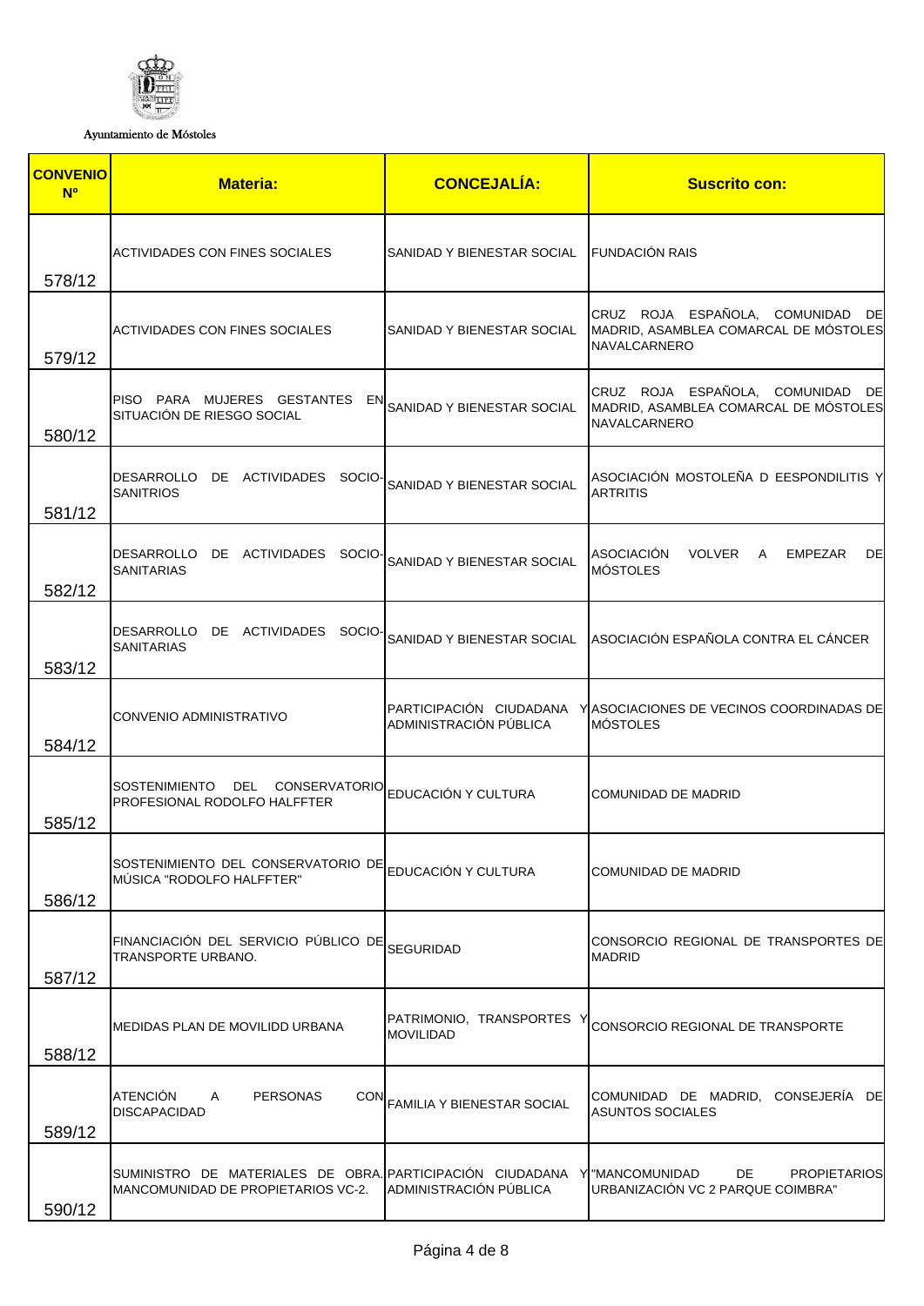

Ayuntamiento de Móstoles

| <b>CONVENIO</b><br><b>N<sup>o</sup></b> | <b>Materia:</b>                                                                                                 | <b>CONCEJALÍA:</b>                                | <b>Suscrito con:</b>                                                                             |
|-----------------------------------------|-----------------------------------------------------------------------------------------------------------------|---------------------------------------------------|--------------------------------------------------------------------------------------------------|
| 578/12                                  | ACTIVIDADES CON FINES SOCIALES                                                                                  | SANIDAD Y BIENESTAR SOCIAL                        | <b>FUNDACIÓN RAIS</b>                                                                            |
| 579/12                                  | <b>ACTIVIDADES CON FINES SOCIALES</b>                                                                           | SANIDAD Y BIENESTAR SOCIAL                        | CRUZ ROJA ESPAÑOLA, COMUNIDAD DE<br>MADRID, ASAMBLEA COMARCAL DE MÓSTOLES<br><b>NAVALCARNERO</b> |
| 580/12                                  | PISO PARA MUJERES GESTANTES EN<br>SITUACIÓN DE RIESGO SOCIAL                                                    | SANIDAD Y BIENESTAR SOCIAL                        | CRUZ ROJA ESPAÑOLA, COMUNIDAD DE<br>MADRID, ASAMBLEA COMARCAL DE MÓSTOLES<br><b>NAVALCARNERO</b> |
| 581/12                                  | DESARROLLO DE ACTIVIDADES SOCIO-<br><b>SANITRIOS</b>                                                            | SANIDAD Y BIENESTAR SOCIAL                        | ASOCIACIÓN MOSTOLEÑA D EESPONDILITIS Y<br><b>ARTRITIS</b>                                        |
| 582/12                                  | DESARROLLO DE ACTIVIDADES SOCIO-<br><b>SANITARIAS</b>                                                           | SANIDAD Y BIENESTAR SOCIAL                        | <b>ASOCIACIÓN</b><br><b>VOLVER</b><br>EMPEZAR<br>DE<br>A<br><b>MÓSTOLES</b>                      |
| 583/12                                  | DESARROLLO DE ACTIVIDADES SOCIO-<br><b>SANITARIAS</b>                                                           |                                                   | SANIDAD Y BIENESTAR SOCIAL ASOCIACIÓN ESPAÑOLA CONTRA EL CÁNCER                                  |
| 584/12                                  | CONVENIO ADMINISTRATIVO                                                                                         | PARTICIPACIÓN CIUDADANA<br>ADMINISTRACIÓN PÚBLICA | Y ASOCIACIONES DE VECINOS COORDINADAS DE<br><b>MÓSTOLES</b>                                      |
| 585/12                                  | <b>SOSTENIMIENTO</b><br>DEL<br>CONSERVATORIO<br>PROFESIONAL RODOLFO HALFFTER                                    | EDUCACIÓN Y CULTURA                               | COMUNIDAD DE MADRID                                                                              |
| 586/12                                  | SOSTENIMIENTO DEL CONSERVATORIO DE<br>MÚSICA "RODOLFO HALFFTER"                                                 | EDUCACIÓN Y CULTURA                               | COMUNIDAD DE MADRID                                                                              |
| 587/12                                  | FINANCIACIÓN DEL SERVICIO PÚBLICO DE<br>TRANSPORTE URBANO.                                                      | SEGURIDAD                                         | CONSORCIO REGIONAL DE TRANSPORTES DE<br><b>MADRID</b>                                            |
| 588/12                                  | MEDIDAS PLAN DE MOVILIDD URBANA                                                                                 | PATRIMONIO, TRANSPORTES Y<br><b>MOVILIDAD</b>     | CONSORCIO REGIONAL DE TRANSPORTE                                                                 |
| 589/12                                  | <b>ATENCIÓN</b><br>A<br><b>PERSONAS</b><br><b>DISCAPACIDAD</b>                                                  | CON FAMILIA Y BIENESTAR SOCIAL                    | COMUNIDAD DE MADRID, CONSEJERÍA DE<br><b>ASUNTOS SOCIALES</b>                                    |
| 590/12                                  | SUMINISTRO DE MATERIALES DE OBRA. PARTICIPACIÓN CIUDADANA Y "MANCOMUNIDAD<br>MANCOMUNIDAD DE PROPIETARIOS VC-2. | ADMINISTRACIÓN PÚBLICA                            | DE<br><b>PROPIETARIOS</b><br>URBANIZACIÓN VC 2 PARQUE COIMBRA"                                   |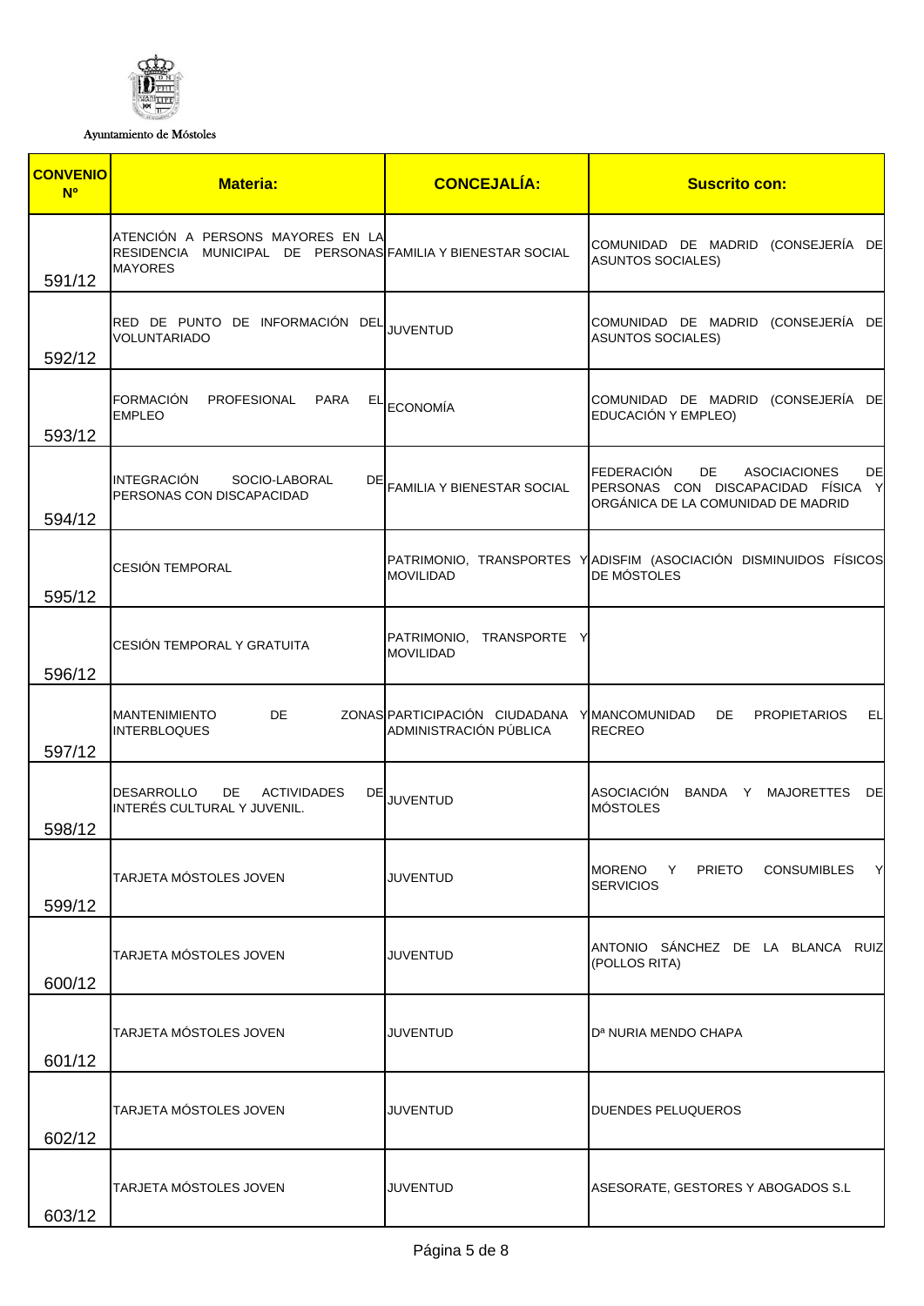

Ayuntamiento de Móstoles

| <b>CONVENIO</b><br><b>N<sup>o</sup></b> | <b>Materia:</b>                                                                                                   | <b>CONCEJALÍA:</b>                                      | <b>Suscrito con:</b>                                                                                                             |
|-----------------------------------------|-------------------------------------------------------------------------------------------------------------------|---------------------------------------------------------|----------------------------------------------------------------------------------------------------------------------------------|
| 591/12                                  | ATENCIÓN A PERSONS MAYORES EN LA<br>RESIDENCIA MUNICIPAL DE PERSONAS FAMILIA Y BIENESTAR SOCIAL<br><b>MAYORES</b> |                                                         | COMUNIDAD DE MADRID (CONSEJERÍA DE<br><b>ASUNTOS SOCIALES)</b>                                                                   |
| 592/12                                  | RED DE PUNTO DE INFORMACIÓN DEL JUVENTUD<br>VOLUNTARIADO                                                          |                                                         | COMUNIDAD DE MADRID (CONSEJERÍA DE<br><b>ASUNTOS SOCIALES)</b>                                                                   |
| 593/12                                  | <b>FORMACIÓN</b><br>PROFESIONAL<br><b>PARA</b><br><b>EMPLEO</b>                                                   | $E L$ ECONOMÍA                                          | COMUNIDAD DE MADRID (CONSEJERÍA DE<br>EDUCACIÓN Y EMPLEO)                                                                        |
| 594/12                                  | <b>INTEGRACIÓN</b><br>SOCIO-LABORAL<br>DE<br>PERSONAS CON DISCAPACIDAD                                            | FAMILIA Y BIENESTAR SOCIAL                              | <b>FEDERACIÓN</b><br>DE<br><b>ASOCIACIONES</b><br>DE<br>PERSONAS CON DISCAPACIDAD FÍSICA Y<br>ORGÁNICA DE LA COMUNIDAD DE MADRID |
| 595/12                                  | <b>CESIÓN TEMPORAL</b>                                                                                            | <b>MOVILIDAD</b>                                        | PATRIMONIO, TRANSPORTES YADISFIM (ASOCIACIÓN DISMINUIDOS FÍSICOS<br>DE MÓSTOLES                                                  |
| 596/12                                  | CESIÓN TEMPORAL Y GRATUITA                                                                                        | PATRIMONIO,<br>TRANSPORTE Y<br><b>MOVILIDAD</b>         |                                                                                                                                  |
| 597/12                                  | <b>MANTENIMIENTO</b><br>DE.<br><b>INTERBLOQUES</b>                                                                | ZONAS PARTICIPACIÓN CIUDADANA<br>ADMINISTRACIÓN PÚBLICA | YMANCOMUNIDAD<br>DE.<br><b>PROPIETARIOS</b><br>EЦ<br><b>RECREO</b>                                                               |
| 598/12                                  | <b>DESARROLLO</b><br>DE.<br><b>ACTIVIDADES</b><br>INTERÉS CULTURAL Y JUVENIL.                                     | DE JUVENTUD                                             | <b>ASOCIACIÓN</b><br>BANDA Y<br>MAJORETTES DE<br><b>MÓSTOLES</b>                                                                 |
| 599/12                                  | TARJETA MÓSTOLES JOVEN                                                                                            | <b>JUVENTUD</b>                                         | <b>PRIETO</b><br>CONSUMIBLES Y<br><b>MORENO</b><br>Y<br><b>SERVICIOS</b>                                                         |
| 600/12                                  | TARJETA MÓSTOLES JOVEN                                                                                            | <b>JUVENTUD</b>                                         | ANTONIO SÁNCHEZ DE LA BLANCA RUIZ<br>(POLLOS RITA)                                                                               |
| 601/12                                  | TARJETA MÓSTOLES JOVEN                                                                                            | <b>JUVENTUD</b>                                         | D <sup>a</sup> NURIA MENDO CHAPA                                                                                                 |
| 602/12                                  | TARJETA MÓSTOLES JOVEN                                                                                            | <b>JUVENTUD</b>                                         | DUENDES PELUQUEROS                                                                                                               |
| 603/12                                  | TARJETA MÓSTOLES JOVEN                                                                                            | <b>JUVENTUD</b>                                         | ASESORATE, GESTORES Y ABOGADOS S.L                                                                                               |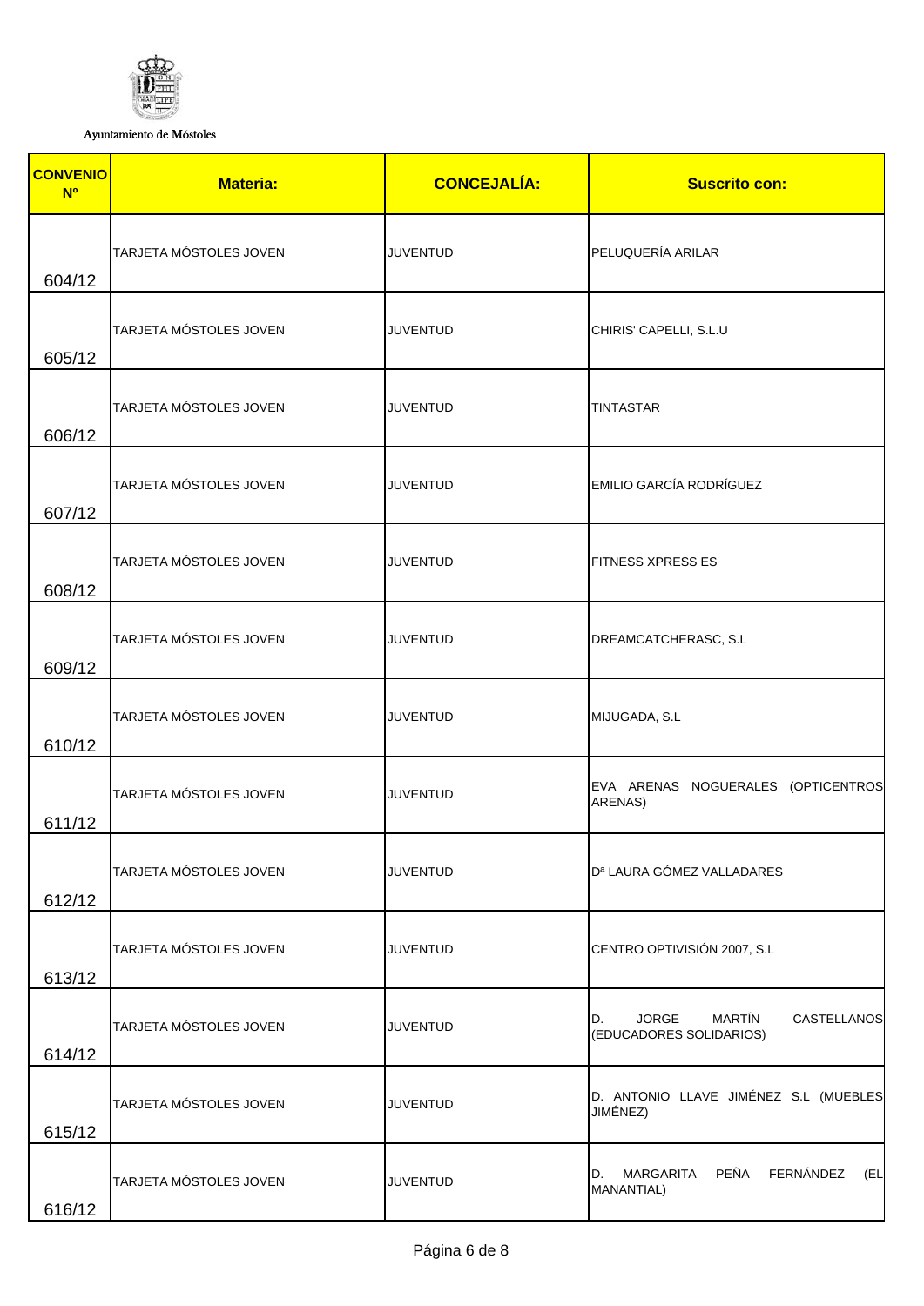

Ayuntamiento de Móstoles

| <b>CONVENIO</b><br><b>N<sup>o</sup></b> | <b>Materia:</b>        | <b>CONCEJALÍA:</b> | <b>Suscrito con:</b>                                                          |
|-----------------------------------------|------------------------|--------------------|-------------------------------------------------------------------------------|
| 604/12                                  | TARJETA MÓSTOLES JOVEN | <b>JUVENTUD</b>    | PELUQUERÍA ARILAR                                                             |
| 605/12                                  | TARJETA MÓSTOLES JOVEN | <b>JUVENTUD</b>    | CHIRIS' CAPELLI, S.L.U                                                        |
| 606/12                                  | TARJETA MÓSTOLES JOVEN | <b>JUVENTUD</b>    | <b>TINTASTAR</b>                                                              |
| 607/12                                  | TARJETA MÓSTOLES JOVEN | <b>JUVENTUD</b>    | <b>EMILIO GARCÍA RODRÍGUEZ</b>                                                |
| 608/12                                  | TARJETA MÓSTOLES JOVEN | <b>JUVENTUD</b>    | <b>FITNESS XPRESS ES</b>                                                      |
| 609/12                                  | TARJETA MÓSTOLES JOVEN | <b>JUVENTUD</b>    | DREAMCATCHERASC, S.L                                                          |
| 610/12                                  | TARJETA MÓSTOLES JOVEN | <b>JUVENTUD</b>    | MIJUGADA, S.L                                                                 |
| 611/12                                  | TARJETA MÓSTOLES JOVEN | <b>JUVENTUD</b>    | EVA ARENAS NOGUERALES (OPTICENTROS<br>ARENAS)                                 |
| 612/12                                  | TARJETA MÓSTOLES JOVEN | <b>JUVENTUD</b>    | D <sup>a</sup> LAURA GÓMEZ VALLADARES                                         |
| 613/12                                  | TARJETA MÓSTOLES JOVEN | <b>JUVENTUD</b>    | CENTRO OPTIVISIÓN 2007, S.L                                                   |
| 614/12                                  | TARJETA MÓSTOLES JOVEN | <b>JUVENTUD</b>    | <b>MARTÍN</b><br><b>JORGE</b><br>CASTELLANOS<br>D.<br>(EDUCADORES SOLIDARIOS) |
| 615/12                                  | TARJETA MÓSTOLES JOVEN | <b>JUVENTUD</b>    | D. ANTONIO LLAVE JIMÉNEZ S.L (MUEBLES<br>JIMÉNEZ)                             |
| 616/12                                  | TARJETA MÓSTOLES JOVEN | <b>JUVENTUD</b>    | MARGARITA PEÑA FERNÁNDEZ<br>(EL<br>D.<br>MANANTIAL)                           |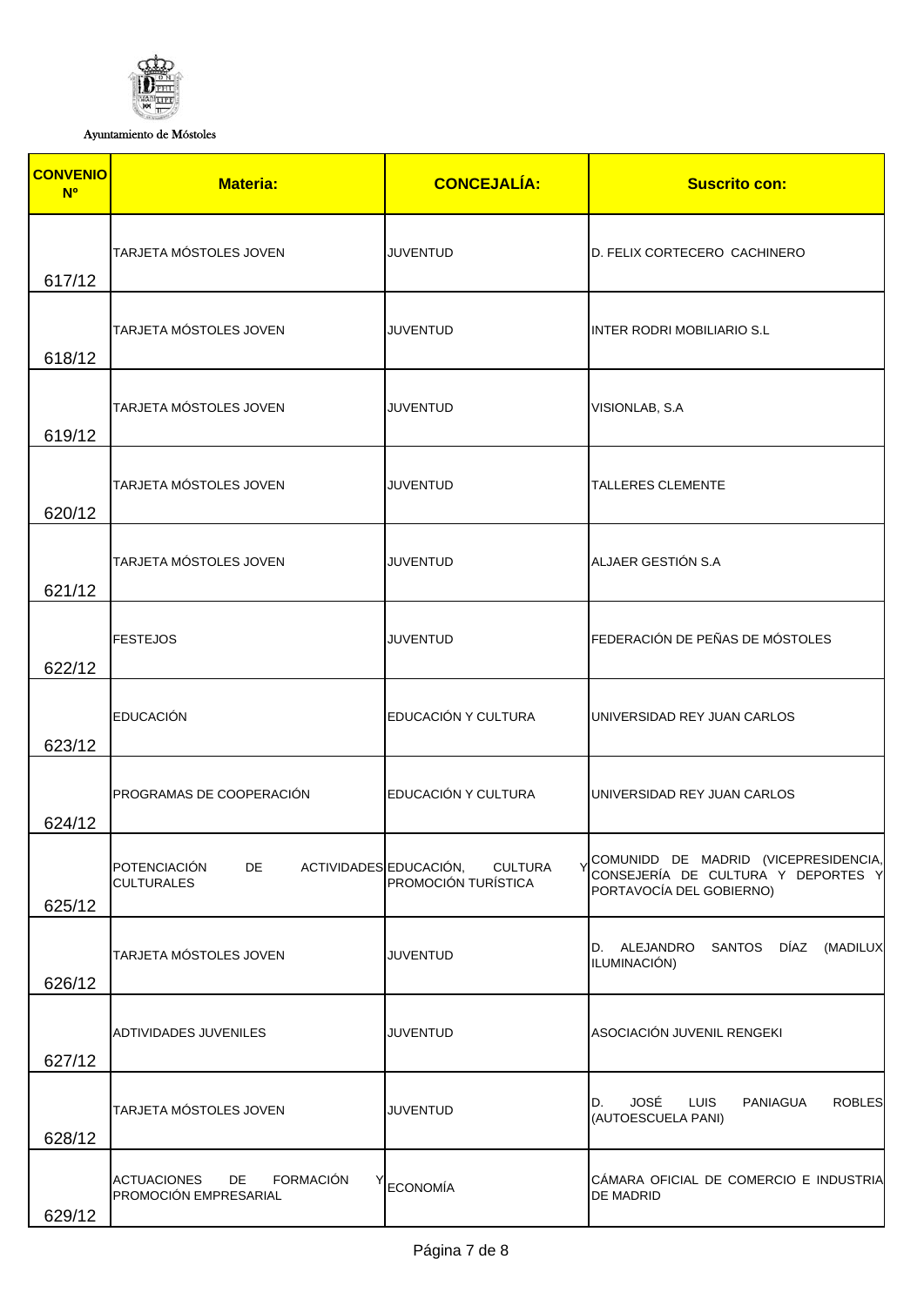

Ayuntamiento de Móstoles

| <b>CONVENIO</b><br><b>N<sup>o</sup></b> | <b>Materia:</b>                                                       | <b>CONCEJALÍA:</b>                    | <b>Suscrito con:</b>                                                                                   |
|-----------------------------------------|-----------------------------------------------------------------------|---------------------------------------|--------------------------------------------------------------------------------------------------------|
| 617/12                                  | TARJETA MÓSTOLES JOVEN                                                | <b>JUVENTUD</b>                       | D. FELIX CORTECERO CACHINERO                                                                           |
| 618/12                                  | TARJETA MÓSTOLES JOVEN                                                | <b>JUVENTUD</b>                       | <b>INTER RODRI MOBILIARIO S.L</b>                                                                      |
| 619/12                                  | TARJETA MÓSTOLES JOVEN                                                | <b>JUVENTUD</b>                       | VISIONLAB, S.A                                                                                         |
| 620/12                                  | TARJETA MÓSTOLES JOVEN                                                | <b>JUVENTUD</b>                       | <b>TALLERES CLEMENTE</b>                                                                               |
| 621/12                                  | TARJETA MÓSTOLES JOVEN                                                | <b>JUVENTUD</b>                       | ALJAER GESTIÓN S.A                                                                                     |
| 622/12                                  | <b>FESTEJOS</b>                                                       | <b>JUVENTUD</b>                       | FEDERACIÓN DE PEÑAS DE MÓSTOLES                                                                        |
| 623/12                                  | <b>EDUCACIÓN</b>                                                      | EDUCACIÓN Y CULTURA                   | UNIVERSIDAD REY JUAN CARLOS                                                                            |
| 624/12                                  | PROGRAMAS DE COOPERACIÓN                                              | EDUCACIÓN Y CULTURA                   | UNIVERSIDAD REY JUAN CARLOS                                                                            |
| 625/12                                  | POTENCIACIÓN<br>ACTIVIDADES EDUCACIÓN,<br>DE<br><b>CULTURALES</b>     | <b>CULTURA</b><br>PROMOCIÓN TURÍSTICA | COMUNIDD DE MADRID (VICEPRESIDENCIA,<br>CONSEJERÍA DE CULTURA Y DEPORTES Y<br>PORTAVOCÍA DEL GOBIERNO) |
| 626/12                                  | TARJETA MÓSTOLES JOVEN                                                | <b>JUVENTUD</b>                       | DÍAZ<br>(MADILUX<br>D. ALEJANDRO<br><b>SANTOS</b><br>ILUMINACIÓN)                                      |
| 627/12                                  | ADTIVIDADES JUVENILES                                                 | <b>JUVENTUD</b>                       | ASOCIACIÓN JUVENIL RENGEKI                                                                             |
| 628/12                                  | TARJETA MÓSTOLES JOVEN                                                | <b>JUVENTUD</b>                       | JOSÉ<br>LUIS<br><b>ROBLES</b><br>PANIAGUA<br>D.<br>(AUTOESCUELA PANI)                                  |
| 629/12                                  | <b>FORMACIÓN</b><br><b>ACTUACIONES</b><br>DE<br>PROMOCIÓN EMPRESARIAL | <b>ECONOMÍA</b>                       | CÁMARA OFICIAL DE COMERCIO E INDUSTRIA<br>DE MADRID                                                    |